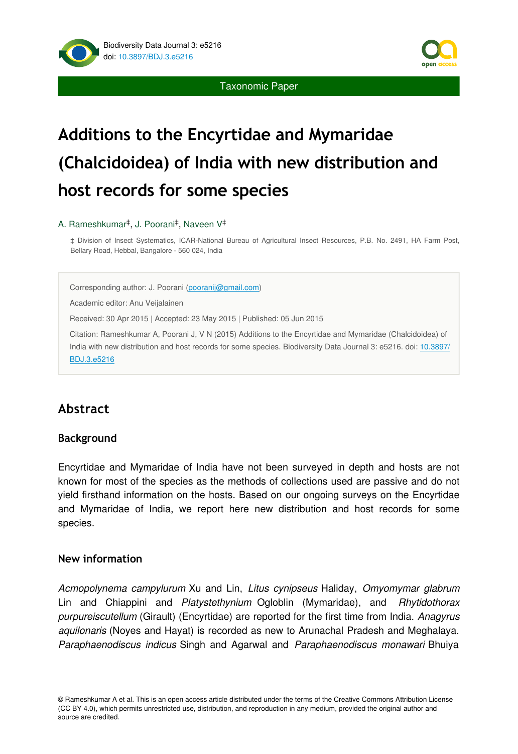

Taxonomic Paper

# **Additions to the Encyrtidae and Mymaridae (Chalcidoidea) of India with new distribution and host records for some species**

### A. Rameshkumar<sup>‡</sup>, J. Poorani<sup>‡</sup>, Naveen V<sup>‡</sup>

‡ Division of Insect Systematics, ICAR-National Bureau of Agricultural Insect Resources, P.B. No. 2491, HA Farm Post, Bellary Road, Hebbal, Bangalore - 560 024, India

Corresponding author: J. Poorani [\(pooranij@gmail.com](mailto:pooranij@gmail.com?subject=Your%20manuscript%20in%20PWT%20#4129/BDJ%20#5216))

Academic editor: Anu Veijalainen

Received: 30 Apr 2015 | Accepted: 23 May 2015 | Published: 05 Jun 2015

Citation: Rameshkumar A, Poorani J, V N (2015) Additions to the Encyrtidae and Mymaridae (Chalcidoidea) of India with new distribution and host records for some species. Biodiversity Data Journal 3: e5216. doi: [10.3897/](http://dx.doi.org/10.3897/BDJ.3.e5216) [BDJ.3.e5216](http://dx.doi.org/10.3897/BDJ.3.e5216)

## **Abstract**

### **Background**

Encyrtidae and Mymaridae of India have not been surveyed in depth and hosts are not known for most of the species as the methods of collections used are passive and do not yield firsthand information on the hosts. Based on our ongoing surveys on the Encyrtidae and Mymaridae of India, we report here new distribution and host records for some species.

### **New information**

*Acmopolynema campylurum* Xu and Lin, *Litus cynipseus* Haliday, *Omyomymar glabrum* Lin and Chiappini and *Platystethynium* Ogloblin (Mymaridae), and *Rhytidothorax purpureiscutellum* (Girault) (Encyrtidae) are reported for the first time from India. *Anagyrus aquilonaris* (Noyes and Hayat) is recorded as new to Arunachal Pradesh and Meghalaya. *Paraphaenodiscus indicus* Singh and Agarwal and *Paraphaenodiscus monawari* Bhuiya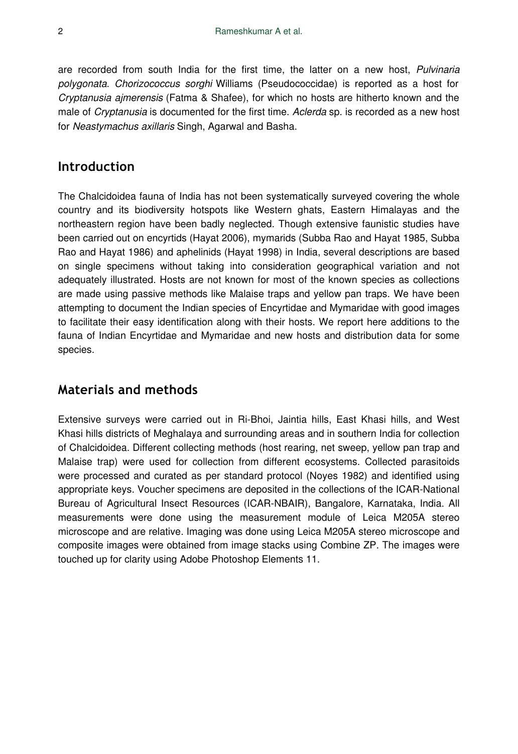are recorded from south India for the first time, the latter on a new host, *Pulvinaria polygonata*. *Chorizococcus sorghi* Williams (Pseudococcidae) is reported as a host for *Cryptanusia ajmerensis* (Fatma & Shafee), for which no hosts are hitherto known and the male of *Cryptanusia* is documented for the first time. *Aclerda* sp. is recorded as a new host for *Neastymachus axillaris* Singh, Agarwal and Basha.

### **Introduction**

The Chalcidoidea fauna of India has not been systematically surveyed covering the whole country and its biodiversity hotspots like Western ghats, Eastern Himalayas and the northeastern region have been badly neglected. Though extensive faunistic studies have been carried out on encyrtids (Hayat 2006), mymarids (Subba Rao and Hayat 1985, Subba Rao and Hayat 1986) and aphelinids (Hayat 1998) in India, several descriptions are based on single specimens without taking into consideration geographical variation and not adequately illustrated. Hosts are not known for most of the known species as collections are made using passive methods like Malaise traps and yellow pan traps. We have been attempting to document the Indian species of Encyrtidae and Mymaridae with good images to facilitate their easy identification along with their hosts. We report here additions to the fauna of Indian Encyrtidae and Mymaridae and new hosts and distribution data for some species.

### **Materials and methods**

Extensive surveys were carried out in Ri-Bhoi, Jaintia hills, East Khasi hills, and West Khasi hills districts of Meghalaya and surrounding areas and in southern India for collection of Chalcidoidea. Different collecting methods (host rearing, net sweep, yellow pan trap and Malaise trap) were used for collection from different ecosystems. Collected parasitoids were processed and curated as per standard protocol (Noyes 1982) and identified using appropriate keys. Voucher specimens are deposited in the collections of the ICAR-National Bureau of Agricultural Insect Resources (ICAR-NBAIR), Bangalore, Karnataka, India. All measurements were done using the measurement module of Leica M205A stereo microscope and are relative. Imaging was done using Leica M205A stereo microscope and composite images were obtained from image stacks using Combine ZP. The images were touched up for clarity using Adobe Photoshop Elements 11.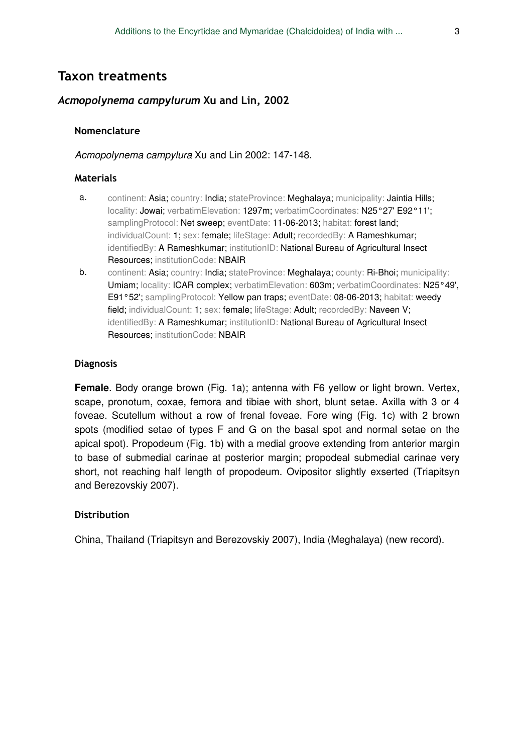### **Taxon treatments**

### *Acmopolynema campylurum* **Xu and Lin, 2002**

### **Nomenclature**

### *Acmopolynema campylura* Xu and Lin 2002: 147-148.

#### **Materials**

- a. continent: Asia; country: India; stateProvince: Meghalaya; municipality: Jaintia Hills; locality: Jowai; verbatimElevation: 1297m; verbatimCoordinates: N25°27' E92°11'; samplingProtocol: Net sweep; eventDate: 11-06-2013; habitat: forest land; individualCount: 1; sex: female; lifeStage: Adult; recordedBy: A Rameshkumar; identifiedBy: A Rameshkumar; institutionID: National Bureau of Agricultural Insect Resources; institutionCode: NBAIR
- b. continent: Asia; country: India; stateProvince: Meghalaya; county: Ri-Bhoi; municipality: Umiam; locality: ICAR complex; verbatimElevation: 603m; verbatimCoordinates: N25°49', E91°52'; samplingProtocol: Yellow pan traps; eventDate: 08-06-2013; habitat: weedy field; individualCount: 1; sex: female; lifeStage: Adult; recordedBy: Naveen V; identifiedBy: A Rameshkumar; institutionID: National Bureau of Agricultural Insect Resources; institutionCode: NBAIR

### **Diagnosis**

**Female**. Body orange brown (Fig. 1a); antenna with F6 yellow or light brown. Vertex, scape, pronotum, coxae, femora and tibiae with short, blunt setae. Axilla with 3 or 4 foveae. Scutellum without a row of frenal foveae. Fore wing (Fig. 1c) with 2 brown spots (modified setae of types F and G on the basal spot and normal setae on the apical spot). Propodeum (Fig. 1b) with a medial groove extending from anterior margin to base of submedial carinae at posterior margin; propodeal submedial carinae very short, not reaching half length of propodeum. Ovipositor slightly exserted (Triapitsyn and Berezovskiy 2007).

### **Distribution**

China, Thailand (Triapitsyn and Berezovskiy 2007), India (Meghalaya) (new record).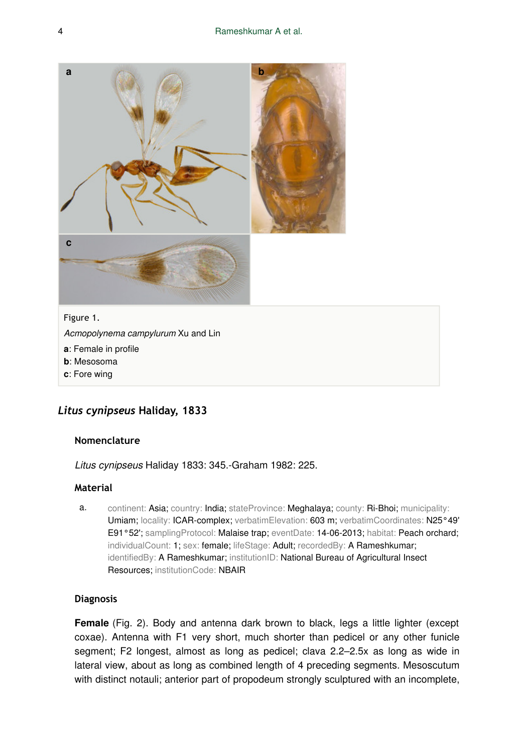

- **a**: Female in profile
- **b**: Mesosoma
- **c**: Fore wing

### *Litus cynipseus* **Haliday, 1833**

#### **Nomenclature**

*Litus cynipseus* Haliday 1833: 345.-Graham 1982: 225.

### **Material**

a. continent: Asia; country: India; stateProvince: Meghalaya; county: Ri-Bhoi; municipality: Umiam; locality: ICAR-complex; verbatimElevation: 603 m; verbatimCoordinates: N25°49' E91°52'; samplingProtocol: Malaise trap; eventDate: 14-06-2013; habitat: Peach orchard; individualCount: 1; sex: female; lifeStage: Adult; recordedBy: A Rameshkumar; identifiedBy: A Rameshkumar; institutionID: National Bureau of Agricultural Insect Resources; institutionCode: NBAIR

### **Diagnosis**

**Female** (Fig. 2). Body and antenna dark brown to black, legs a little lighter (except coxae). Antenna with F1 very short, much shorter than pedicel or any other funicle segment; F2 longest, almost as long as pedicel; clava 2.2–2.5x as long as wide in lateral view, about as long as combined length of 4 preceding segments. Mesoscutum with distinct notauli; anterior part of propodeum strongly sculptured with an incomplete,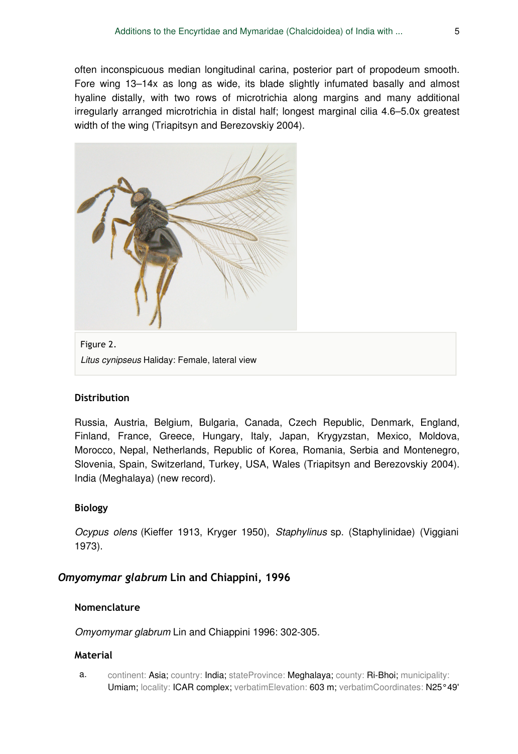often inconspicuous median longitudinal carina, posterior part of propodeum smooth. Fore wing 13–14x as long as wide, its blade slightly infumated basally and almost hyaline distally, with two rows of microtrichia along margins and many additional irregularly arranged microtrichia in distal half; longest marginal cilia 4.6–5.0x greatest width of the wing (Triapitsyn and Berezovskiy 2004).



Figure 2. *Litus cynipseus* Haliday: Female, lateral view

### **Distribution**

Russia, Austria, Belgium, Bulgaria, Canada, Czech Republic, Denmark, England, Finland, France, Greece, Hungary, Italy, Japan, Krygyzstan, Mexico, Moldova, Morocco, Nepal, Netherlands, Republic of Korea, Romania, Serbia and Montenegro, Slovenia, Spain, Switzerland, Turkey, USA, Wales (Triapitsyn and Berezovskiy 2004). India (Meghalaya) (new record).

### **Biology**

*Ocypus olens* (Kieffer 1913, Kryger 1950), *Staphylinus* sp. (Staphylinidae) (Viggiani 1973).

### *Omyomymar glabrum* **Lin and Chiappini, 1996**

### **Nomenclature**

*Omyomymar glabrum* Lin and Chiappini 1996: 302-305.

### **Material**

a. continent: Asia; country: India; stateProvince: Meghalaya; county: Ri-Bhoi; municipality: Umiam; locality: ICAR complex; verbatimElevation: 603 m; verbatimCoordinates: N25°49'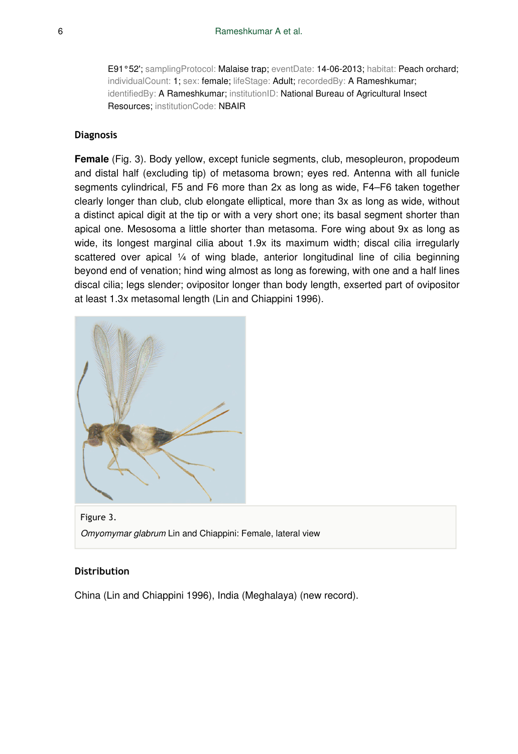E91°52'; samplingProtocol: Malaise trap; eventDate: 14-06-2013; habitat: Peach orchard; individualCount: 1; sex: female; lifeStage: Adult; recordedBy: A Rameshkumar; identifiedBy: A Rameshkumar; institutionID: National Bureau of Agricultural Insect Resources; institutionCode: NBAIR

#### **Diagnosis**

**Female** (Fig. 3). Body yellow, except funicle segments, club, mesopleuron, propodeum and distal half (excluding tip) of metasoma brown; eyes red. Antenna with all funicle segments cylindrical, F5 and F6 more than 2x as long as wide, F4–F6 taken together clearly longer than club, club elongate elliptical, more than 3x as long as wide, without a distinct apical digit at the tip or with a very short one; its basal segment shorter than apical one. Mesosoma a little shorter than metasoma. Fore wing about 9x as long as wide, its longest marginal cilia about 1.9x its maximum width; discal cilia irregularly scattered over apical 1/4 of wing blade, anterior longitudinal line of cilia beginning beyond end of venation; hind wing almost as long as forewing, with one and a half lines discal cilia; legs slender; ovipositor longer than body length, exserted part of ovipositor at least 1.3x metasomal length (Lin and Chiappini 1996).



Figure 3. *Omyomymar glabrum* Lin and Chiappini: Female, lateral view

#### **Distribution**

China (Lin and Chiappini 1996), India (Meghalaya) (new record).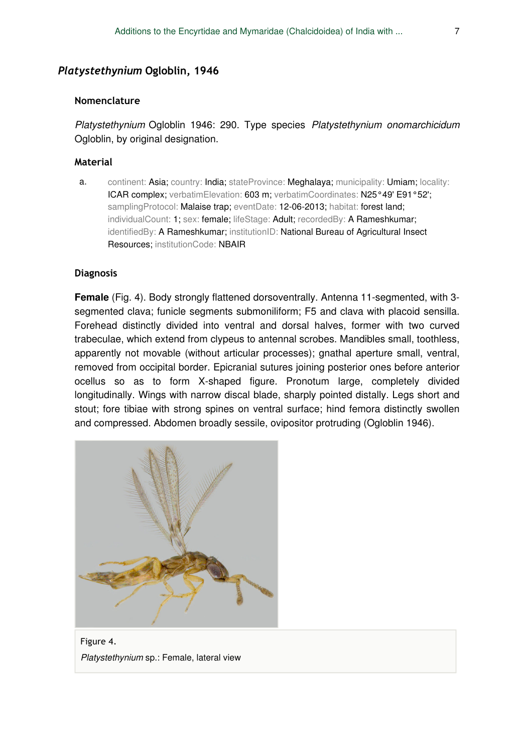### *Platystethynium* **Ogloblin, 1946**

### **Nomenclature**

*Platystethynium* Ogloblin 1946: 290. Type species *Platystethynium onomarchicidum* Ogloblin, by original designation.

#### **Material**

a. continent: Asia; country: India; stateProvince: Meghalaya; municipality: Umiam; locality: ICAR complex; verbatimElevation: 603 m; verbatimCoordinates: N25°49' E91°52'; samplingProtocol: Malaise trap; eventDate: 12-06-2013; habitat: forest land; individualCount: 1; sex: female; lifeStage: Adult; recordedBy: A Rameshkumar; identifiedBy: A Rameshkumar; institutionID: National Bureau of Agricultural Insect Resources; institutionCode: NBAIR

### **Diagnosis**

**Female** (Fig. 4). Body strongly flattened dorsoventrally. Antenna 11-segmented, with 3 segmented clava; funicle segments submoniliform; F5 and clava with placoid sensilla. Forehead distinctly divided into ventral and dorsal halves, former with two curved trabeculae, which extend from clypeus to antennal scrobes. Mandibles small, toothless, apparently not movable (without articular processes); gnathal aperture small, ventral, removed from occipital border. Epicranial sutures joining posterior ones before anterior ocellus so as to form X-shaped figure. Pronotum large, completely divided longitudinally. Wings with narrow discal blade, sharply pointed distally. Legs short and stout; fore tibiae with strong spines on ventral surface; hind femora distinctly swollen and compressed. Abdomen broadly sessile, ovipositor protruding (Ogloblin 1946).



Figure 4. *Platystethynium* sp.: Female, lateral view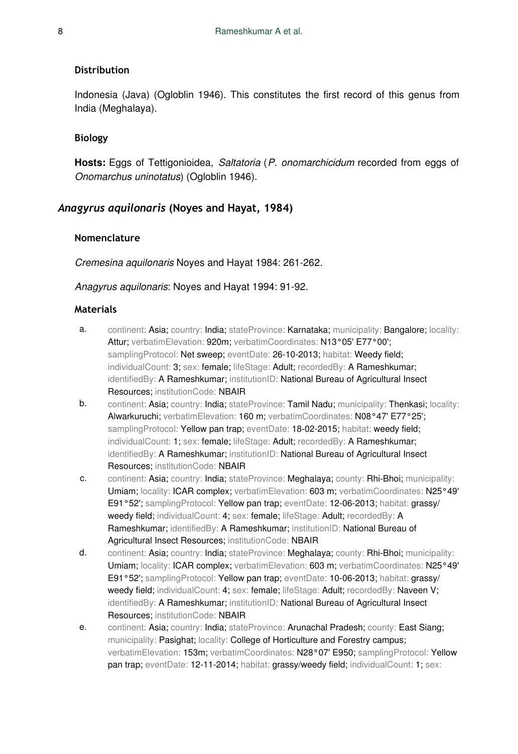### **Distribution**

Indonesia (Java) (Ogloblin 1946). This constitutes the first record of this genus from India (Meghalaya).

### **Biology**

**Hosts:** Eggs of Tettigonioidea, *Saltatoria* (*P. onomarchicidum* recorded from eggs of *Onomarchus uninotatus*) (Ogloblin 1946).

### *Anagyrus aquilonaris* **(Noyes and Hayat, 1984)**

#### **Nomenclature**

*Cremesina aquilonaris* Noyes and Hayat 1984: 261-262.

#### *Anagyrus aquilonaris*: Noyes and Hayat 1994: 91-92.

#### **Materials**

- a. continent: Asia; country: India; stateProvince: Karnataka; municipality: Bangalore; locality: Attur; verbatimElevation: 920m; verbatimCoordinates: N13°05' E77°00'; samplingProtocol: Net sweep; eventDate: 26-10-2013; habitat: Weedy field; individualCount: 3; sex: female; lifeStage: Adult; recordedBy: A Rameshkumar; identifiedBy: A Rameshkumar; institutionID: National Bureau of Agricultural Insect Resources; institutionCode: NBAIR
- b. continent: Asia; country: India; stateProvince: Tamil Nadu; municipality: Thenkasi; locality: Alwarkuruchi; verbatimElevation: 160 m; verbatimCoordinates: N08°47' E77°25'; samplingProtocol: Yellow pan trap; eventDate: 18-02-2015; habitat: weedy field; individualCount: 1; sex: female; lifeStage: Adult; recordedBy: A Rameshkumar; identifiedBy: A Rameshkumar; institutionID: National Bureau of Agricultural Insect Resources; institutionCode: NBAIR
- c. continent: Asia; country: India; stateProvince: Meghalaya; county: Rhi-Bhoi; municipality: Umiam; locality: ICAR complex; verbatimElevation: 603 m; verbatimCoordinates: N25°49' E91°52'; samplingProtocol: Yellow pan trap; eventDate: 12-06-2013; habitat: grassy/ weedy field; individualCount: 4; sex: female; lifeStage: Adult; recordedBy: A Rameshkumar; identifiedBy: A Rameshkumar; institutionID: National Bureau of Agricultural Insect Resources; institutionCode: NBAIR
- d. continent: Asia; country: India; stateProvince: Meghalaya; county: Rhi-Bhoi; municipality: Umiam; locality: ICAR complex; verbatimElevation: 603 m; verbatimCoordinates: N25°49' E91°52'; samplingProtocol: Yellow pan trap; eventDate: 10-06-2013; habitat: grassy/ weedy field; individualCount: 4; sex: female; lifeStage: Adult; recordedBy: Naveen V; identifiedBy: A Rameshkumar; institutionID: National Bureau of Agricultural Insect Resources; institutionCode: NBAIR
- e. continent: Asia; country: India; stateProvince: Arunachal Pradesh; county: East Siang; municipality: Pasighat; locality: College of Horticulture and Forestry campus; verbatimElevation: 153m; verbatimCoordinates: N28°07' E950; samplingProtocol: Yellow pan trap; eventDate: 12-11-2014; habitat: grassy/weedy field; individualCount: 1; sex: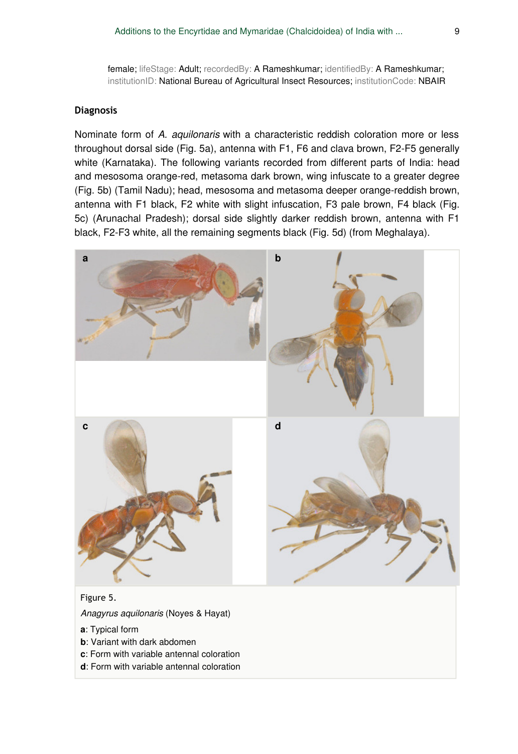female; lifeStage: Adult; recordedBy: A Rameshkumar; identifiedBy: A Rameshkumar; institutionID: National Bureau of Agricultural Insect Resources; institutionCode: NBAIR

### **Diagnosis**

Nominate form of *A. aquilonaris* with a characteristic reddish coloration more or less throughout dorsal side (Fig. 5a), antenna with F1, F6 and clava brown, F2-F5 generally white (Karnataka). The following variants recorded from different parts of India: head and mesosoma orange-red, metasoma dark brown, wing infuscate to a greater degree (Fig. 5b) (Tamil Nadu); head, mesosoma and metasoma deeper orange-reddish brown, antenna with F1 black, F2 white with slight infuscation, F3 pale brown, F4 black (Fig. 5c) (Arunachal Pradesh); dorsal side slightly darker reddish brown, antenna with F1 black, F2-F3 white, all the remaining segments black (Fig. 5d) (from Meghalaya).



#### Figure 5.

*Anagyrus aquilonaris* (Noyes & Hayat)

- **a**: Typical form
- **b**: Variant with dark abdomen
- **c**: Form with variable antennal coloration
- **d**: Form with variable antennal coloration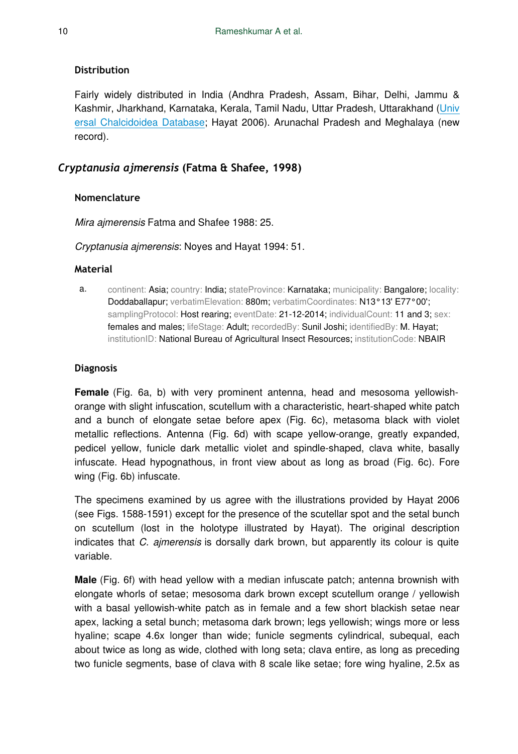### **Distribution**

Fairly widely distributed in India (Andhra Pradesh, Assam, Bihar, Delhi, Jammu & Kashmir, Jharkhand, Karnataka, Kerala, Tamil Nadu, Uttar Pradesh, Uttarakhand [\(Univ](http://www.nhm.ac.uk/research-curation/research/projects/chalcidoids/database/detail.dsml?FamilyCode=ET&VALAUTHOR=%28Noyes+%26+Hayat%29+&VALGENUS=Anagyrus&HOMCODE=0&VALDATE=1984&TAXONCODE=Anagyr+aquilN&VALSPECIES=aquilonaris&ValidAuthBracket=true&searchPageURL=indexValidName%2edsml%3fSpecies%3daquilonaris%26Genusqtype%3dequals%26Familyqtype%3dequals%26index%3dValidName%26Speciesqtype%3dequals%26Genus%3dAnagyrus&listPageURL=validName%2edsml%3fSpecies%3daquilonaris%26Familyqtype%3dequals%26Genusqtype%3dequals%26index%3dValidName%26Speciesqtype%3dequals%26Genus%3dAnagyrus&tab=distribution) [ersal Chalcidoidea Database;](http://www.nhm.ac.uk/research-curation/research/projects/chalcidoids/database/detail.dsml?FamilyCode=ET&VALAUTHOR=%28Noyes+%26+Hayat%29+&VALGENUS=Anagyrus&HOMCODE=0&VALDATE=1984&TAXONCODE=Anagyr+aquilN&VALSPECIES=aquilonaris&ValidAuthBracket=true&searchPageURL=indexValidName%2edsml%3fSpecies%3daquilonaris%26Genusqtype%3dequals%26Familyqtype%3dequals%26index%3dValidName%26Speciesqtype%3dequals%26Genus%3dAnagyrus&listPageURL=validName%2edsml%3fSpecies%3daquilonaris%26Familyqtype%3dequals%26Genusqtype%3dequals%26index%3dValidName%26Speciesqtype%3dequals%26Genus%3dAnagyrus&tab=distribution) Hayat 2006). Arunachal Pradesh and Meghalaya (new record).

### *Cryptanusia ajmerensis* **(Fatma & Shafee, 1998)**

### **Nomenclature**

*Mira ajmerensis* Fatma and Shafee 1988: 25.

*Cryptanusia ajmerensis*: Noyes and Hayat 1994: 51.

### **Material**

a. continent: Asia; country: India; stateProvince: Karnataka; municipality: Bangalore; locality: Doddaballapur; verbatimElevation: 880m; verbatimCoordinates: N13°13' E77°00'; samplingProtocol: Host rearing; eventDate: 21-12-2014; individualCount: 11 and 3; sex: females and males; lifeStage: Adult; recordedBy: Sunil Joshi; identifiedBy: M. Hayat; institutionID: National Bureau of Agricultural Insect Resources; institutionCode: NBAIR

### **Diagnosis**

**Female** (Fig. 6a, b) with very prominent antenna, head and mesosoma yellowishorange with slight infuscation, scutellum with a characteristic, heart-shaped white patch and a bunch of elongate setae before apex (Fig. 6c), metasoma black with violet metallic reflections. Antenna (Fig. 6d) with scape yellow-orange, greatly expanded, pedicel yellow, funicle dark metallic violet and spindle-shaped, clava white, basally infuscate. Head hypognathous, in front view about as long as broad (Fig. 6c). Fore wing (Fig. 6b) infuscate.

The specimens examined by us agree with the illustrations provided by Hayat 2006 (see Figs. 1588-1591) except for the presence of the scutellar spot and the setal bunch on scutellum (lost in the holotype illustrated by Hayat). The original description indicates that *C. ajmerensis* is dorsally dark brown, but apparently its colour is quite variable.

**Male** (Fig. 6f) with head yellow with a median infuscate patch; antenna brownish with elongate whorls of setae; mesosoma dark brown except scutellum orange / yellowish with a basal yellowish-white patch as in female and a few short blackish setae near apex, lacking a setal bunch; metasoma dark brown; legs yellowish; wings more or less hyaline; scape 4.6x longer than wide; funicle segments cylindrical, subequal, each about twice as long as wide, clothed with long seta; clava entire, as long as preceding two funicle segments, base of clava with 8 scale like setae; fore wing hyaline, 2.5x as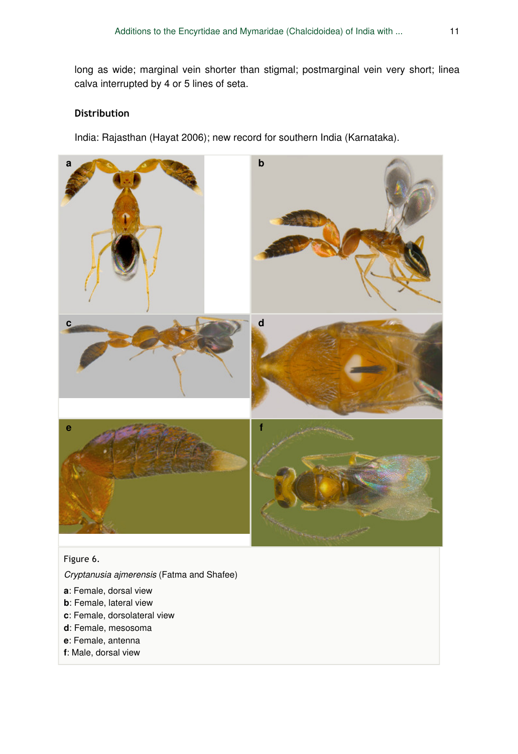long as wide; marginal vein shorter than stigmal; postmarginal vein very short; linea calva interrupted by 4 or 5 lines of seta.

### **Distribution**

India: Rajasthan (Hayat 2006); new record for southern India (Karnataka).



### Figure 6.

*Cryptanusia ajmerensis* (Fatma and Shafee)

- **a**: Female, dorsal view
- **b**: Female, lateral view
- **c**: Female, dorsolateral view
- **d**: Female, mesosoma
- **e**: Female, antenna
- **f**: Male, dorsal view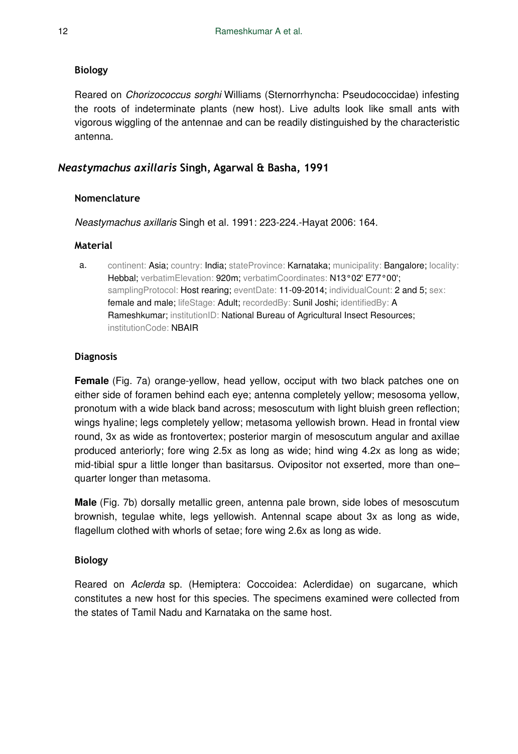### **Biology**

Reared on *Chorizococcus sorghi* Williams (Sternorrhyncha: Pseudococcidae) infesting the roots of indeterminate plants (new host). Live adults look like small ants with vigorous wiggling of the antennae and can be readily distinguished by the characteristic antenna.

### *Neastymachus axillaris* **Singh, Agarwal & Basha, 1991**

### **Nomenclature**

*Neastymachus axillaris* Singh et al. 1991: 223-224.-Hayat 2006: 164.

### **Material**

a. continent: Asia; country: India; stateProvince: Karnataka; municipality: Bangalore; locality: Hebbal; verbatimElevation: 920m; verbatimCoordinates: N13°02' E77°00'; samplingProtocol: Host rearing: eventDate: 11-09-2014; individualCount: 2 and 5: sex: female and male; lifeStage: Adult; recordedBy: Sunil Joshi; identifiedBy: A Rameshkumar; institutionID: National Bureau of Agricultural Insect Resources; institutionCode: NBAIR

### **Diagnosis**

**Female** (Fig. 7a) orange-yellow, head yellow, occiput with two black patches one on either side of foramen behind each eye; antenna completely yellow; mesosoma yellow, pronotum with a wide black band across; mesoscutum with light bluish green reflection; wings hyaline; legs completely yellow; metasoma yellowish brown. Head in frontal view round, 3x as wide as frontovertex; posterior margin of mesoscutum angular and axillae produced anteriorly; fore wing 2.5x as long as wide; hind wing 4.2x as long as wide; mid-tibial spur a little longer than basitarsus. Ovipositor not exserted, more than one– quarter longer than metasoma.

**Male** (Fig. 7b) dorsally metallic green, antenna pale brown, side lobes of mesoscutum brownish, tegulae white, legs yellowish. Antennal scape about 3x as long as wide, flagellum clothed with whorls of setae; fore wing 2.6x as long as wide.

### **Biology**

Reared on *Aclerda* sp. (Hemiptera: Coccoidea: Aclerdidae) on sugarcane, which constitutes a new host for this species. The specimens examined were collected from the states of Tamil Nadu and Karnataka on the same host.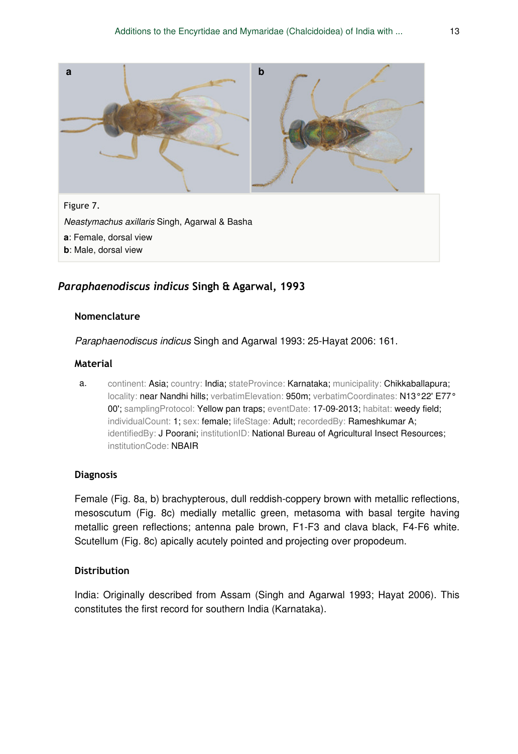

### *Paraphaenodiscus indicus* **Singh & Agarwal, 1993**

#### **Nomenclature**

*Paraphaenodiscus indicus* Singh and Agarwal 1993: 25-Hayat 2006: 161.

### **Material**

a. continent: Asia; country: India; stateProvince: Karnataka; municipality: Chikkaballapura; locality: near Nandhi hills; verbatimElevation: 950m; verbatimCoordinates: N13°22' E77° 00'; samplingProtocol: Yellow pan traps; eventDate: 17-09-2013; habitat: weedy field; individualCount: 1; sex: female; lifeStage: Adult; recordedBy: Rameshkumar A; identifiedBy: J Poorani; institutionID: National Bureau of Agricultural Insect Resources; institutionCode: NBAIR

### **Diagnosis**

Female (Fig. 8a, b) brachypterous, dull reddish-coppery brown with metallic reflections, mesoscutum (Fig. 8c) medially metallic green, metasoma with basal tergite having metallic green reflections; antenna pale brown, F1-F3 and clava black, F4-F6 white. Scutellum (Fig. 8c) apically acutely pointed and projecting over propodeum.

### **Distribution**

India: Originally described from Assam (Singh and Agarwal 1993; Hayat 2006). This constitutes the first record for southern India (Karnataka).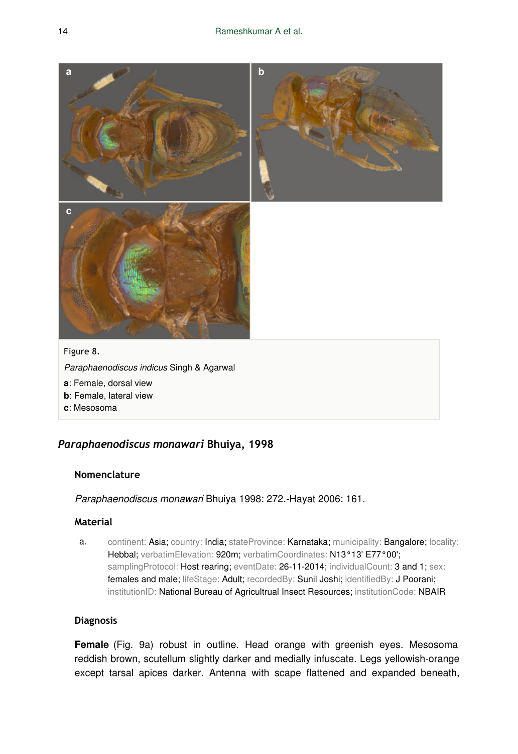

- **a**: Female, dorsal view
- **b**: Female, lateral view
- **c**: Mesosoma

### *Paraphaenodiscus monawari* **Bhuiya, 1998**

### **Nomenclature**

*Paraphaenodiscus monawari* Bhuiya 1998: 272.-Hayat 2006: 161.

### **Material**

a. continent: Asia; country: India; stateProvince: Karnataka; municipality: Bangalore; locality: Hebbal; verbatimElevation: 920m; verbatimCoordinates: N13°13' E77°00'; samplingProtocol: Host rearing; eventDate: 26-11-2014; individualCount: 3 and 1; sex: females and male; lifeStage: Adult; recordedBy: Sunil Joshi; identifiedBy: J Poorani; institutionID: National Bureau of Agricultrual Insect Resources; institutionCode: NBAIR

### **Diagnosis**

**Female** (Fig. 9a) robust in outline. Head orange with greenish eyes. Mesosoma reddish brown, scutellum slightly darker and medially infuscate. Legs yellowish-orange except tarsal apices darker. Antenna with scape flattened and expanded beneath,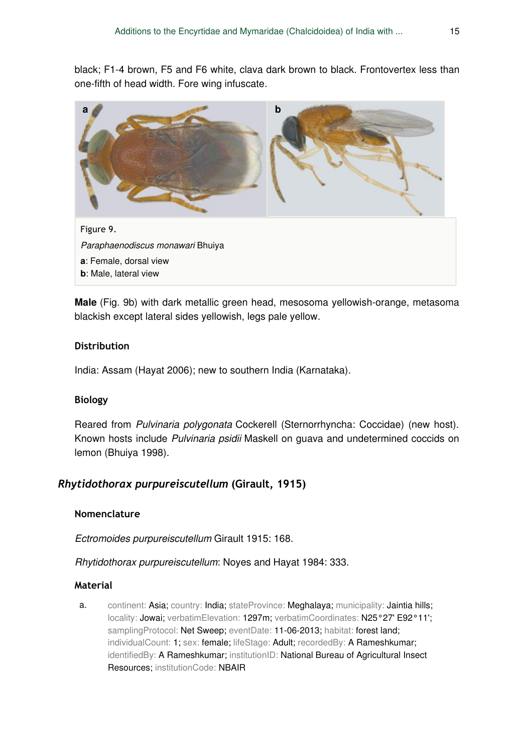black; F1-4 brown, F5 and F6 white, clava dark brown to black. Frontovertex less than one-fifth of head width. Fore wing infuscate.

![](_page_14_Picture_2.jpeg)

**Male** (Fig. 9b) with dark metallic green head, mesosoma yellowish-orange, metasoma blackish except lateral sides yellowish, legs pale yellow.

### **Distribution**

India: Assam (Hayat 2006); new to southern India (Karnataka).

### **Biology**

Reared from *Pulvinaria polygonata* Cockerell (Sternorrhyncha: Coccidae) (new host). Known hosts include *Pulvinaria psidii* Maskell on guava and undetermined coccids on lemon (Bhuiya 1998).

### *Rhytidothorax purpureiscutellum* **(Girault, 1915)**

### **Nomenclature**

*Ectromoides purpureiscutellum* Girault 1915: 168.

### *Rhytidothorax purpureiscutellum*: Noyes and Hayat 1984: 333.

### **Material**

a. continent: Asia; country: India; stateProvince: Meghalaya; municipality: Jaintia hills; locality: Jowai; verbatimElevation: 1297m; verbatimCoordinates: N25°27' E92°11'; samplingProtocol: Net Sweep; eventDate: 11-06-2013; habitat: forest land; individualCount: 1; sex: female; lifeStage: Adult; recordedBy: A Rameshkumar; identifiedBy: A Rameshkumar; institutionID: National Bureau of Agricultural Insect Resources; institutionCode: NBAIR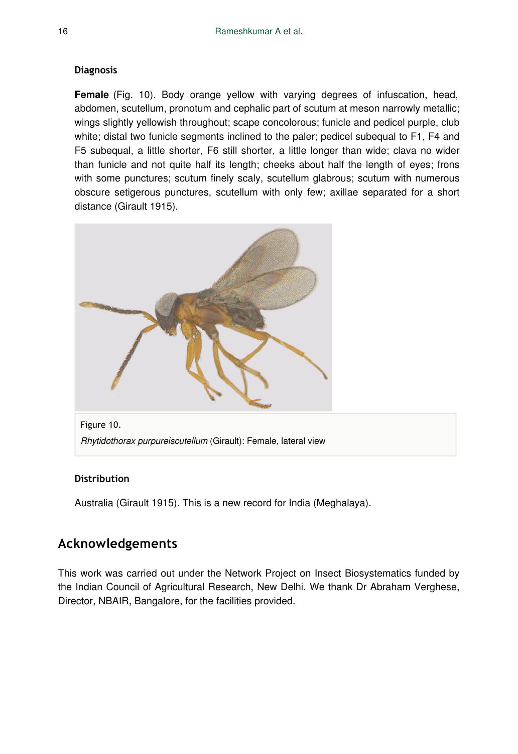### **Diagnosis**

**Female** (Fig. 10). Body orange yellow with varying degrees of infuscation, head, abdomen, scutellum, pronotum and cephalic part of scutum at meson narrowly metallic; wings slightly yellowish throughout; scape concolorous; funicle and pedicel purple, club white; distal two funicle segments inclined to the paler; pedicel subequal to F1, F4 and F5 subequal, a little shorter, F6 still shorter, a little longer than wide; clava no wider than funicle and not quite half its length; cheeks about half the length of eyes; frons with some punctures; scutum finely scaly, scutellum glabrous; scutum with numerous obscure setigerous punctures, scutellum with only few; axillae separated for a short distance (Girault 1915).

![](_page_15_Picture_3.jpeg)

*Rhytidothorax purpureiscutellum* (Girault): Female, lateral view

### **Distribution**

Australia (Girault 1915). This is a new record for India (Meghalaya).

# **Acknowledgements**

This work was carried out under the Network Project on Insect Biosystematics funded by the Indian Council of Agricultural Research, New Delhi. We thank Dr Abraham Verghese, Director, NBAIR, Bangalore, for the facilities provided.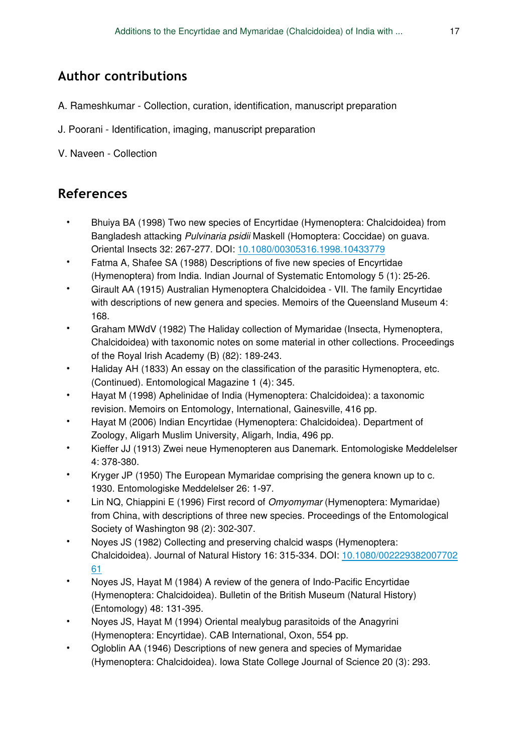# **Author contributions**

- A. Rameshkumar Collection, curation, identification, manuscript preparation
- J. Poorani Identification, imaging, manuscript preparation
- V. Naveen Collection

# **References**

- Bhuiya BA (1998) Two new species of Encyrtidae (Hymenoptera: Chalcidoidea) from Bangladesh attacking *Pulvinaria psidii* Maskell (Homoptera: Coccidae) on guava. Oriental Insects 32: 267‑277. DOI: [10.1080/00305316.1998.10433779](http://dx.doi.org/10.1080/00305316.1998.10433779)
- Fatma A, Shafee SA (1988) Descriptions of five new species of Encyrtidae (Hymenoptera) from India. Indian Journal of Systematic Entomology 5 (1): 25‑26.
- Girault AA (1915) Australian Hymenoptera Chalcidoidea VII. The family Encyrtidae with descriptions of new genera and species. Memoirs of the Queensland Museum 4: 168.
- Graham MWdV (1982) The Haliday collection of Mymaridae (Insecta, Hymenoptera, Chalcidoidea) with taxonomic notes on some material in other collections. Proceedings of the Royal Irish Academy (B) (82): 189-243.
- Haliday AH (1833) An essay on the classification of the parasitic Hymenoptera, etc. (Continued). Entomological Magazine 1 (4): 345.
- Hayat M (1998) Aphelinidae of India (Hymenoptera: Chalcidoidea): a taxonomic revision. Memoirs on Entomology, International, Gainesville, 416 pp.
- Hayat M (2006) Indian Encyrtidae (Hymenoptera: Chalcidoidea). Department of Zoology, Aligarh Muslim University, Aligarh, India, 496 pp.
- Kieffer JJ (1913) Zwei neue Hymenopteren aus Danemark. Entomologiske Meddelelser 4: 378‑380.
- Kryger JP (1950) The European Mymaridae comprising the genera known up to c. 1930. Entomologiske Meddelelser 26: 1‑97.
- Lin NQ, Chiappini E (1996) First record of *Omyomymar* (Hymenoptera: Mymaridae) from China, with descriptions of three new species. Proceedings of the Entomological Society of Washington 98 (2): 302-307.
- Noyes JS (1982) Collecting and preserving chalcid wasps (Hymenoptera: Chalcidoidea). Journal of Natural History 16: 315‑334. DOI: [10.1080/002229382007702](http://dx.doi.org/10.1080/00222938200770261) [61](http://dx.doi.org/10.1080/00222938200770261)
- Noyes JS, Hayat M (1984) A review of the genera of Indo-Pacific Encyrtidae (Hymenoptera: Chalcidoidea). Bulletin of the British Museum (Natural History) (Entomology) 48: 131‑395.
- Noyes JS, Hayat M (1994) Oriental mealybug parasitoids of the Anagyrini (Hymenoptera: Encyrtidae). CAB International, Oxon, 554 pp.
- Ogloblin AA (1946) Descriptions of new genera and species of Mymaridae (Hymenoptera: Chalcidoidea). Iowa State College Journal of Science 20 (3): 293.